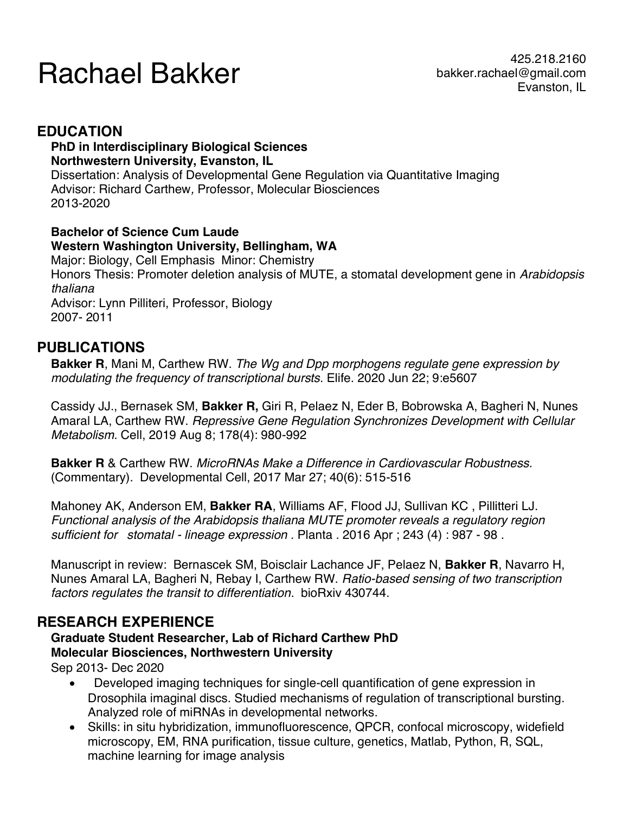# Pachael Bakker bakker.rachael@gmail.com

## **EDUCATION**

#### **PhD in Interdisciplinary Biological Sciences Northwestern University, Evanston, IL**

Dissertation: Analysis of Developmental Gene Regulation via Quantitative Imaging Advisor: Richard Carthew*,* Professor, Molecular Biosciences 2013-2020

#### **Bachelor of Science Cum Laude Western Washington University, Bellingham, WA**

Major: Biology, Cell Emphasis Minor: Chemistry Honors Thesis: Promoter deletion analysis of MUTE, a stomatal development gene in *Arabidopsis thaliana* Advisor: Lynn Pilliteri, Professor, Biology 2007- 2011

## **PUBLICATIONS**

**Bakker R**, Mani M, Carthew RW. *The Wg and Dpp morphogens regulate gene expression by modulating the frequency of transcriptional bursts*. Elife. 2020 Jun 22; 9:e5607

Cassidy JJ., Bernasek SM, **Bakker R,** Giri R, Pelaez N, Eder B, Bobrowska A, Bagheri N, Nunes Amaral LA, Carthew RW. *Repressive Gene Regulation Synchronizes Development with Cellular Metabolism.* Cell, 2019 Aug 8; 178(4): 980-992

**Bakker R** & Carthew RW. *MicroRNAs Make a Difference in Cardiovascular Robustness.* (Commentary). Developmental Cell, 2017 Mar 27; 40(6): 515-516

Mahoney AK, Anderson EM, **Bakker RA**, Williams AF, Flood JJ, Sullivan KC , Pillitteri LJ. *Functional analysis of the Arabidopsis thaliana MUTE promoter reveals a regulatory region sufficient for stomatal - lineage expression .* Planta . 2016 Apr ; 243 (4) : 987 - 98 .

Manuscript in review: Bernascek SM, Boisclair Lachance JF, Pelaez N, **Bakker R**, Navarro H, Nunes Amaral LA, Bagheri N, Rebay I, Carthew RW. *Ratio-based sensing of two transcription factors regulates the transit to differentiation*. bioRxiv 430744.

## **RESEARCH EXPERIENCE**

### **Graduate Student Researcher, Lab of Richard Carthew PhD Molecular Biosciences, Northwestern University**

Sep 2013- Dec 2020

- Developed imaging techniques for single-cell quantification of gene expression in Drosophila imaginal discs. Studied mechanisms of regulation of transcriptional bursting. Analyzed role of miRNAs in developmental networks.
- Skills: in situ hybridization, immunofluorescence, QPCR, confocal microscopy, widefield microscopy, EM, RNA purification, tissue culture, genetics, Matlab, Python, R, SQL, machine learning for image analysis